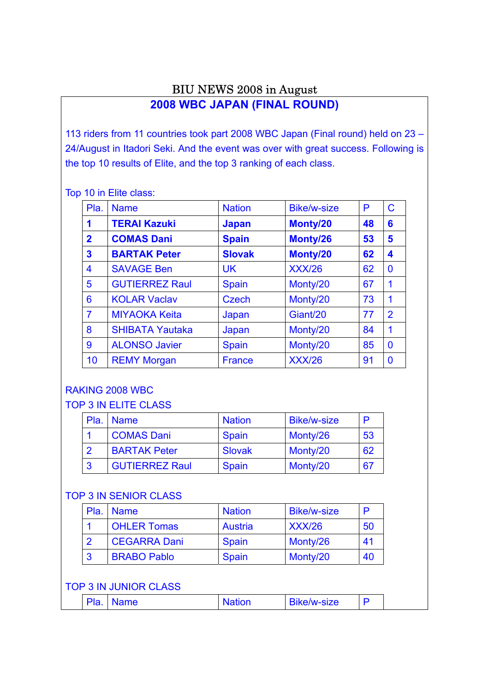# BIU NEWS 2008 in August

# **2008 WBC JAPAN (FINAL ROUND)**

113 riders from 11 countries took part 2008 WBC Japan (Final round) held on 23 – 24/August in Itadori Seki. And the event was over with great success. Following is the top 10 results of Elite, and the top 3 ranking of each class.

Top 10 in Elite class:

| Pla.                    | <b>Name</b>            | <b>Nation</b> | <b>Bike/w-size</b> | P  | $\mathbf C$    |
|-------------------------|------------------------|---------------|--------------------|----|----------------|
| 1                       | <b>TERAI Kazuki</b>    | <b>Japan</b>  | Monty/20           | 48 | 6              |
| $\mathbf{2}$            | <b>COMAS Dani</b>      | <b>Spain</b>  | Monty/26           | 53 | 5              |
| $\overline{\mathbf{3}}$ | <b>BARTAK Peter</b>    | <b>Slovak</b> | Monty/20           | 62 | 4              |
| 4                       | <b>SAVAGE Ben</b>      | <b>UK</b>     | <b>XXX/26</b>      | 62 | $\bf{0}$       |
| 5                       | <b>GUTIERREZ Raul</b>  | <b>Spain</b>  | Monty/20           | 67 | 1              |
| 6                       | <b>KOLAR Vaclav</b>    | <b>Czech</b>  | Monty/20           | 73 | 1              |
| $\overline{7}$          | <b>MIYAOKA Keita</b>   | Japan         | Giant/20           | 77 | $\overline{2}$ |
| 8                       | <b>SHIBATA Yautaka</b> | Japan         | Monty/20           | 84 | 1              |
| 9                       | <b>ALONSO Javier</b>   | <b>Spain</b>  | Monty/20           | 85 | $\bf{0}$       |
| 10                      | <b>REMY Morgan</b>     | <b>France</b> | <b>XXX/26</b>      | 91 | $\bf{0}$       |

### RAKING 2008 WBC

TOP 3 IN ELITE CLASS

| Pla. Name             | <b>Nation</b> | <b>Bike/w-size</b> | P  |
|-----------------------|---------------|--------------------|----|
| <b>COMAS Dani</b>     | <b>Spain</b>  | Monty/26           | 53 |
| <b>BARTAK Peter</b>   | <b>Slovak</b> | Monty/20           | 62 |
| <b>GUTIERREZ Raul</b> | <b>Spain</b>  | Monty/20           | 67 |

#### TOP 3 IN SENIOR CLASS

|   | Pla. Name           | <b>Nation</b> | <b>Bike/w-size</b> |    |
|---|---------------------|---------------|--------------------|----|
|   | <b>OHLER Tomas</b>  | Austria       | <b>XXX/26</b>      | 50 |
|   | <b>CEGARRA Dani</b> | <b>Spain</b>  | Monty/26           | 41 |
| 3 | <b>BRABO Pablo</b>  | <b>Spain</b>  | Monty/20           | 40 |

#### TOP 3 IN JUNIOR CLASS

| Pla<br><b>Dika/w-Size</b><br>ame |
|----------------------------------|
|----------------------------------|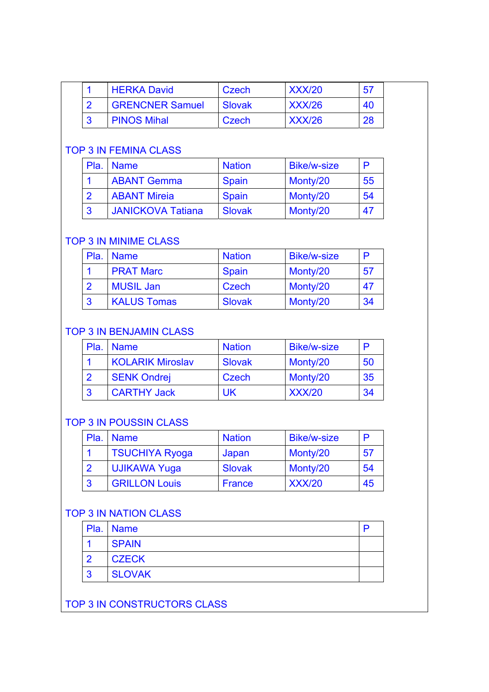|  | <b>HERKA David</b>     | Czech  | <b>XXX/20</b> | 57 |  |
|--|------------------------|--------|---------------|----|--|
|  | <b>GRENCNER Samuel</b> | Slovak | <b>XXX/26</b> | 40 |  |
|  | <b>PINOS Mihal</b>     | Czech  | <b>XXX/26</b> | 28 |  |

### TOP 3 IN FEMINA CLASS

|           | Pla. Name                | <b>Nation</b> | <b>Bike/w-size</b> | D  |
|-----------|--------------------------|---------------|--------------------|----|
|           | <b>ABANT Gemma</b>       | <b>Spain</b>  | Monty/20           | 55 |
|           | <b>ABANT Mireia</b>      | <b>Spain</b>  | Monty/20           | 54 |
| $\vert 3$ | <b>JANICKOVA Tatiana</b> | <b>Slovak</b> | Monty/20           | 47 |

#### TOP 3 IN MINIME CLASS

| Pla.      | <b>Name</b>        | <b>Nation</b> | <b>Bike/w-size</b> | D  |
|-----------|--------------------|---------------|--------------------|----|
|           | <b>PRAT Marc</b>   | <b>Spain</b>  | Monty/20           | 57 |
| <u>ာ</u>  | <b>MUSIL Jan</b>   | Czech         | Monty/20           | 47 |
| $\cdot$ 3 | <b>KALUS Tomas</b> | <b>Slovak</b> | Monty/20           | 34 |

#### TOP 3 IN BENJAMIN CLASS

|    | Pla. Name               | <b>Nation</b> | <b>Bike/w-size</b> | D  |
|----|-------------------------|---------------|--------------------|----|
|    | <b>KOLARIK Miroslav</b> | <b>Slovak</b> | Monty/20           | 50 |
|    | <b>SENK Ondrej</b>      | Czech         | Monty/20           | 35 |
| -3 | <b>CARTHY Jack</b>      | UK            | <b>XXX/20</b>      | 34 |

### TOP 3 IN POUSSIN CLASS

| Pla. | <b>Name</b>           | <b>Nation</b> | <b>Bike/w-size</b> | P  |
|------|-----------------------|---------------|--------------------|----|
|      | <b>TSUCHIYA Ryoga</b> | Japan         | Monty/20           | 57 |
|      | <b>UJIKAWA Yuga</b>   | <b>Slovak</b> | Monty/20           | 54 |
| 3    | <b>GRILLON Louis</b>  | France        | <b>XXX/20</b>      | 45 |

# TOP 3 IN NATION CLASS

|                | Pla. Name     | n |
|----------------|---------------|---|
|                | <b>SPAIN</b>  |   |
| ာ              | <b>CZECK</b>  |   |
| $\overline{3}$ | <b>SLOVAK</b> |   |

TOP 3 IN CONSTRUCTORS CLASS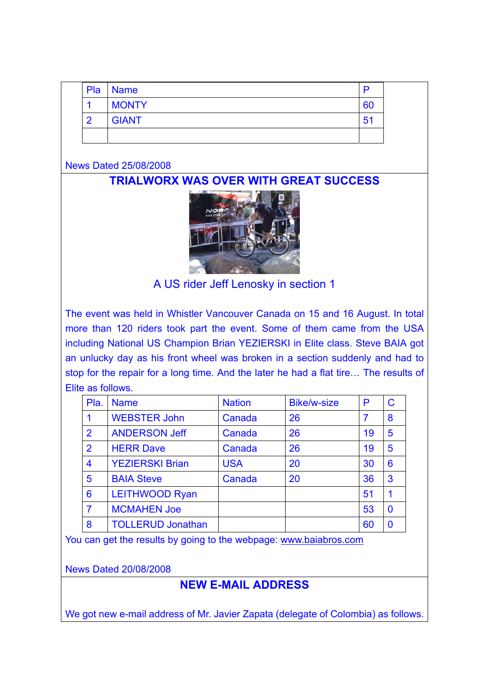| Pla | <b>Name</b>  | D              |
|-----|--------------|----------------|
|     | <b>MONTY</b> | 60             |
| റ   | <b>GIANT</b> | 5 <sup>′</sup> |
|     |              |                |

News Dated 25/08/2008

**TRIALWORX WAS OVER WITH GREAT SUCCESS** 



A US rider Jeff Lenosky in section 1

The event was held in Whistler Vancouver Canada on 15 and 16 August. In total more than 120 riders took part the event. Some of them came from the USA including National US Champion Brian YEZIERSKI in Elite class. Steve BAIA got an unlucky day as his front wheel was broken in a section suddenly and had to stop for the repair for a long time. And the later he had a flat tire… The results of Elite as follows.

| Pla.           | <b>Name</b>              | <b>Nation</b> | <b>Bike/w-size</b> | P              | C            |
|----------------|--------------------------|---------------|--------------------|----------------|--------------|
|                | <b>WEBSTER John</b>      | Canada        | 26                 | $\overline{7}$ | 8            |
| $\overline{2}$ | <b>ANDERSON Jeff</b>     | Canada        | 26                 | 19             | 5            |
| $\overline{2}$ | <b>HERR Dave</b>         | Canada        | 26                 | 19             | 5            |
| 4              | <b>YEZIERSKI Brian</b>   | <b>USA</b>    | 20                 | 30             | 6            |
| 5              | <b>BAIA Steve</b>        | Canada        | 20                 | 36             | $\mathbf{3}$ |
| 6              | <b>LEITHWOOD Ryan</b>    |               |                    | 51             |              |
| 7              | <b>MCMAHEN Joe</b>       |               |                    | 53             | $\bf{0}$     |
| 8              | <b>TOLLERUD Jonathan</b> |               |                    | 60             | $\Omega$     |

You can get the results by going to the webpage: www.baiabros.com

News Dated 20/08/2008

# **NEW E-MAIL ADDRESS**

We got new e-mail address of Mr. Javier Zapata (delegate of Colombia) as follows.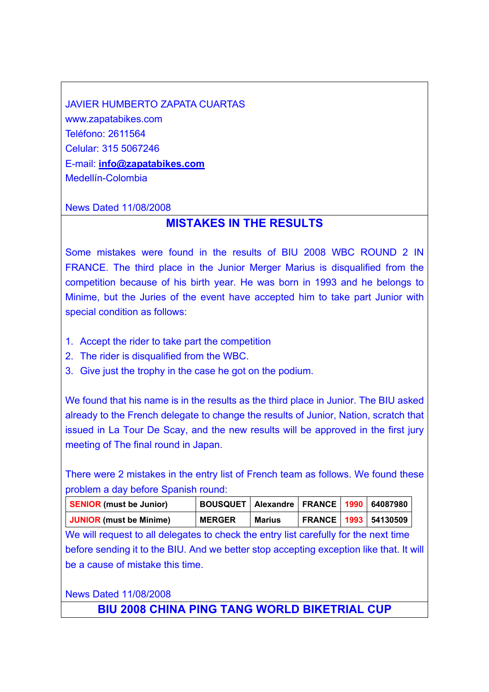JAVIER HUMBERTO ZAPATA CUARTAS www.zapatabikes.com Teléfono: 2611564 Celular: 315 5067246 E-mail: **info@zapatabikes.com** Medellín-Colombia

#### News Dated 11/08/2008

# **MISTAKES IN THE RESULTS**

Some mistakes were found in the results of BIU 2008 WBC ROUND 2 IN FRANCE. The third place in the Junior Merger Marius is disqualified from the competition because of his birth year. He was born in 1993 and he belongs to Minime, but the Juries of the event have accepted him to take part Junior with special condition as follows:

- 1. Accept the rider to take part the competition
- 2. The rider is disqualified from the WBC.
- 3. Give just the trophy in the case he got on the podium.

We found that his name is in the results as the third place in Junior. The BIU asked already to the French delegate to change the results of Junior, Nation, scratch that issued in La Tour De Scay, and the new results will be approved in the first jury meeting of The final round in Japan.

There were 2 mistakes in the entry list of French team as follows. We found these problem a day before Spanish round:

| <b>SENIOR</b> (must be Junior) | BOUSQUET   Alexandre   FRANCE   1990   64087980 |               |  |                             |
|--------------------------------|-------------------------------------------------|---------------|--|-----------------------------|
| <b>JUNIOR</b> (must be Minime) | <b>MERGER</b>                                   | <b>Marius</b> |  | <b>FRANCE 1993 54130509</b> |

We will request to all delegates to check the entry list carefully for the next time before sending it to the BIU. And we better stop accepting exception like that. It will be a cause of mistake this time.

News Dated 11/08/2008

**BIU 2008 CHINA PING TANG WORLD BIKETRIAL CUP**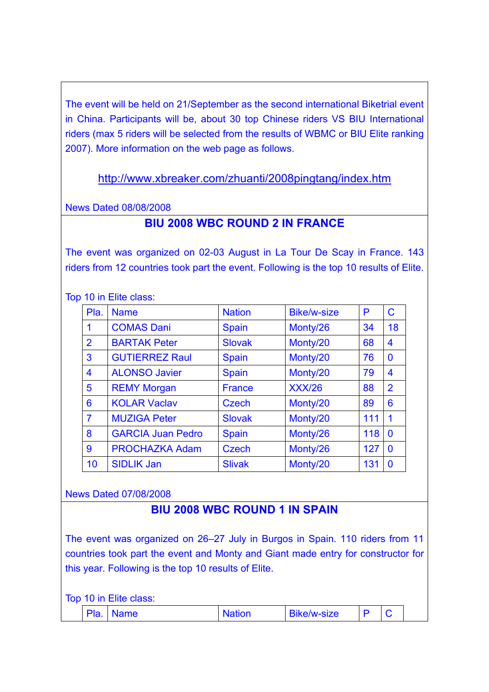The event will be held on 21/September as the second international Biketrial event in China. Participants will be, about 30 top Chinese riders VS BIU International riders (max 5 riders will be selected from the results of WBMC or BIU Elite ranking 2007). More information on the web page as follows.

http://www.xbreaker.com/zhuanti/2008pingtang/index.htm

News Dated 08/08/2008

# **BIU 2008 WBC ROUND 2 IN FRANCE**

The event was organized on 02-03 August in La Tour De Scay in France. 143 riders from 12 countries took part the event. Following is the top 10 results of Elite.

Top 10 in Elite class:

| Pla.           | <b>Name</b>              | <b>Nation</b> | <b>Bike/w-size</b> | P   | $\mathbf C$     |
|----------------|--------------------------|---------------|--------------------|-----|-----------------|
| 1              | <b>COMAS Dani</b>        | <b>Spain</b>  | Monty/26           | 34  | 18              |
| $\overline{2}$ | <b>BARTAK Peter</b>      | <b>Slovak</b> | Monty/20           | 68  | $\overline{4}$  |
| 3              | <b>GUTIERREZ Raul</b>    | <b>Spain</b>  | Monty/20           | 76  | $\bf{0}$        |
| 4              | <b>ALONSO Javier</b>     | <b>Spain</b>  | Monty/20           | 79  | $\overline{4}$  |
| 5              | <b>REMY Morgan</b>       | <b>France</b> | <b>XXX/26</b>      | 88  | $\overline{2}$  |
| 6              | <b>KOLAR Vaclav</b>      | <b>Czech</b>  | Monty/20           | 89  | $6\phantom{1}6$ |
| $\overline{7}$ | <b>MUZIGA Peter</b>      | <b>Slovak</b> | Monty/20           | 111 | 1               |
| 8              | <b>GARCIA Juan Pedro</b> | <b>Spain</b>  | Monty/26           | 118 | $\bf{0}$        |
| 9              | <b>PROCHAZKA Adam</b>    | <b>Czech</b>  | Monty/26           | 127 | $\mathbf 0$     |
| 10             | <b>SIDLIK Jan</b>        | <b>Slivak</b> | Monty/20           | 131 | $\bf{0}$        |

#### News Dated 07/08/2008

# **BIU 2008 WBC ROUND 1 IN SPAIN**

The event was organized on 26–27 July in Burgos in Spain. 110 riders from 11 countries took part the event and Monty and Giant made entry for constructor for this year. Following is the top 10 results of Elite.

Top 10 in Elite class:

| <b>DI-</b><br>-Pia. |
|---------------------|
|---------------------|